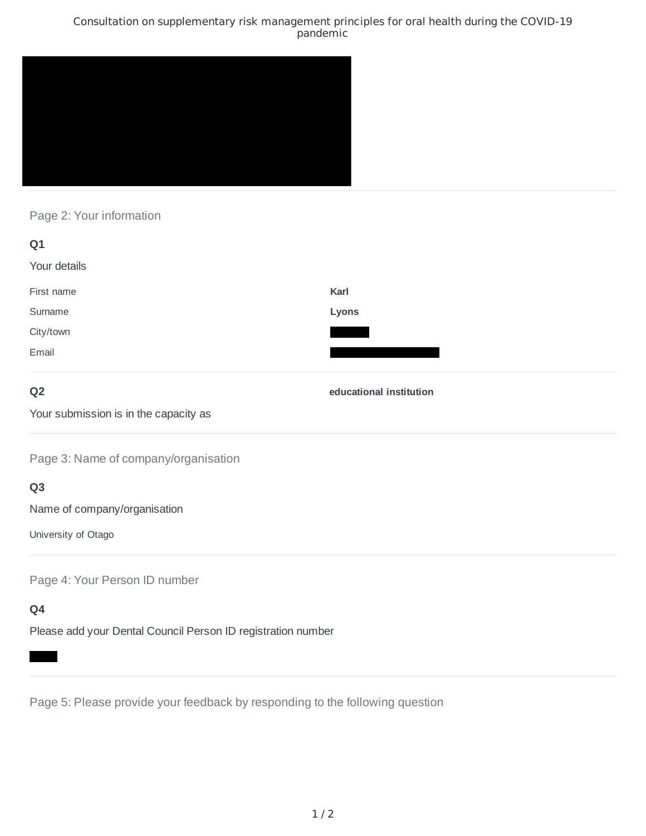#### Consultation on supplementary risk management principles for oral health during the COVID-19 pandemic



### Page 2: Your information

| Q1           |       |
|--------------|-------|
| Your details |       |
| First name   | Karl  |
| Surname      | Lyons |
| City/town    |       |
| Email        |       |

# **Q2**

**educational institution**

Your submission is in the capacity as

Page 3: Name of company/organisation

# **Q3**

Name of company/organisation

University of Otago

Page 4: Your Person ID number

# **Q4**

Please add your Dental Council Person ID registration number

Page 5: Please provide your feedback by responding to the following question